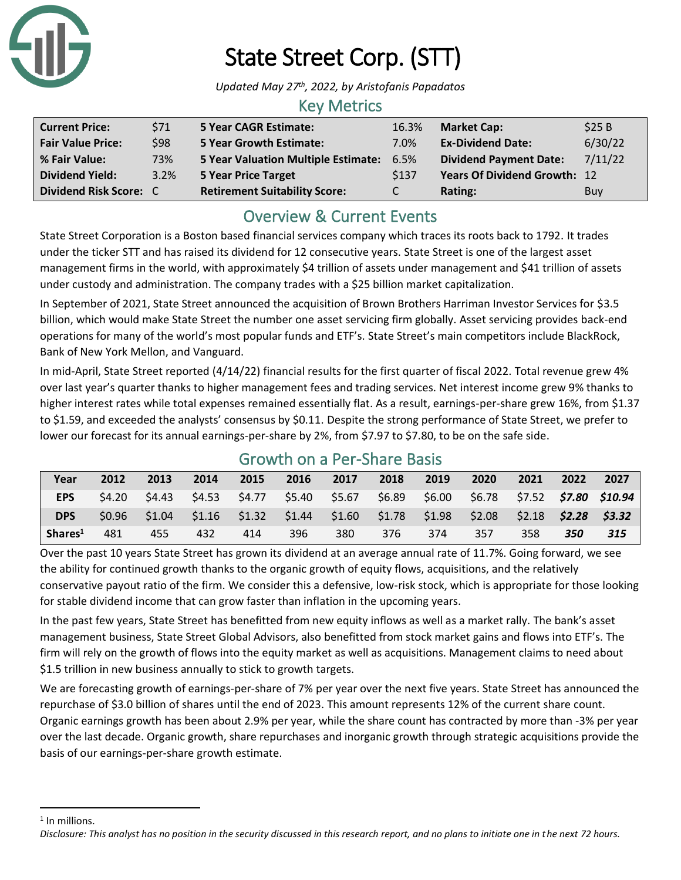

# State Street Corp. (STT)

*Updated May 27th , 2022, by Aristofanis Papadatos*

### Key Metrics

| <b>Current Price:</b>    | \$71 | <b>5 Year CAGR Estimate:</b>             | 16.3% | <b>Market Cap:</b>            | \$25B   |
|--------------------------|------|------------------------------------------|-------|-------------------------------|---------|
| <b>Fair Value Price:</b> | \$98 | <b>5 Year Growth Estimate:</b>           | 7.0%  | <b>Ex-Dividend Date:</b>      | 6/30/22 |
| % Fair Value:            | 73%  | 5 Year Valuation Multiple Estimate: 6.5% |       | <b>Dividend Payment Date:</b> | 7/11/22 |
| <b>Dividend Yield:</b>   | 3.2% | <b>5 Year Price Target</b>               | \$137 | Years Of Dividend Growth: 12  |         |
| Dividend Risk Score: C   |      | <b>Retirement Suitability Score:</b>     | C.    | Rating:                       | Buy     |

## Overview & Current Events

State Street Corporation is a Boston based financial services company which traces its roots back to 1792. It trades under the ticker STT and has raised its dividend for 12 consecutive years. State Street is one of the largest asset management firms in the world, with approximately \$4 trillion of assets under management and \$41 trillion of assets under custody and administration. The company trades with a \$25 billion market capitalization.

In September of 2021, State Street announced the acquisition of Brown Brothers Harriman Investor Services for \$3.5 billion, which would make State Street the number one asset servicing firm globally. Asset servicing provides back-end operations for many of the world's most popular funds and ETF's. State Street's main competitors include BlackRock, Bank of New York Mellon, and Vanguard.

In mid-April, State Street reported (4/14/22) financial results for the first quarter of fiscal 2022. Total revenue grew 4% over last year's quarter thanks to higher management fees and trading services. Net interest income grew 9% thanks to higher interest rates while total expenses remained essentially flat. As a result, earnings-per-share grew 16%, from \$1.37 to \$1.59, and exceeded the analysts' consensus by \$0.11. Despite the strong performance of State Street, we prefer to lower our forecast for its annual earnings-per-share by 2%, from \$7.97 to \$7.80, to be on the safe side.

| Year                | 2012   | 2013   | 2014 | 2015 | 2016 | 2017 | 2018 | 2019 | 2020                                                                                          | 2021 | 2022 | 2027 |
|---------------------|--------|--------|------|------|------|------|------|------|-----------------------------------------------------------------------------------------------|------|------|------|
| EPS                 | S4.20  |        |      |      |      |      |      |      | \$4.43  \$4.53  \$4.77  \$5.40  \$5.67  \$6.89  \$6.00  \$6.78  \$7.52 <b>\$7.80  \$10.94</b> |      |      |      |
| <b>DPS</b>          | \$0.96 | \$1.04 |      |      |      |      |      |      | $$1.16$ $$1.32$ $$1.44$ $$1.60$ $$1.78$ $$1.98$ $$2.08$ $$2.18$ $$2.28$ $$3.32$               |      |      |      |
| Shares <sup>1</sup> | 481    | 455    | 432  | 414  | 396  | 380  | 376  | 374  | 357                                                                                           | 358  | 350  | 315  |

### Growth on a Per-Share Basis

Over the past 10 years State Street has grown its dividend at an average annual rate of 11.7%. Going forward, we see the ability for continued growth thanks to the organic growth of equity flows, acquisitions, and the relatively conservative payout ratio of the firm. We consider this a defensive, low-risk stock, which is appropriate for those looking for stable dividend income that can grow faster than inflation in the upcoming years.

In the past few years, State Street has benefitted from new equity inflows as well as a market rally. The bank's asset management business, State Street Global Advisors, also benefitted from stock market gains and flows into ETF's. The firm will rely on the growth of flows into the equity market as well as acquisitions. Management claims to need about \$1.5 trillion in new business annually to stick to growth targets.

We are forecasting growth of earnings-per-share of 7% per year over the next five years. State Street has announced the repurchase of \$3.0 billion of shares until the end of 2023. This amount represents 12% of the current share count. Organic earnings growth has been about 2.9% per year, while the share count has contracted by more than -3% per year over the last decade. Organic growth, share repurchases and inorganic growth through strategic acquisitions provide the basis of our earnings-per-share growth estimate.

<sup>1</sup> In millions.

*Disclosure: This analyst has no position in the security discussed in this research report, and no plans to initiate one in the next 72 hours.*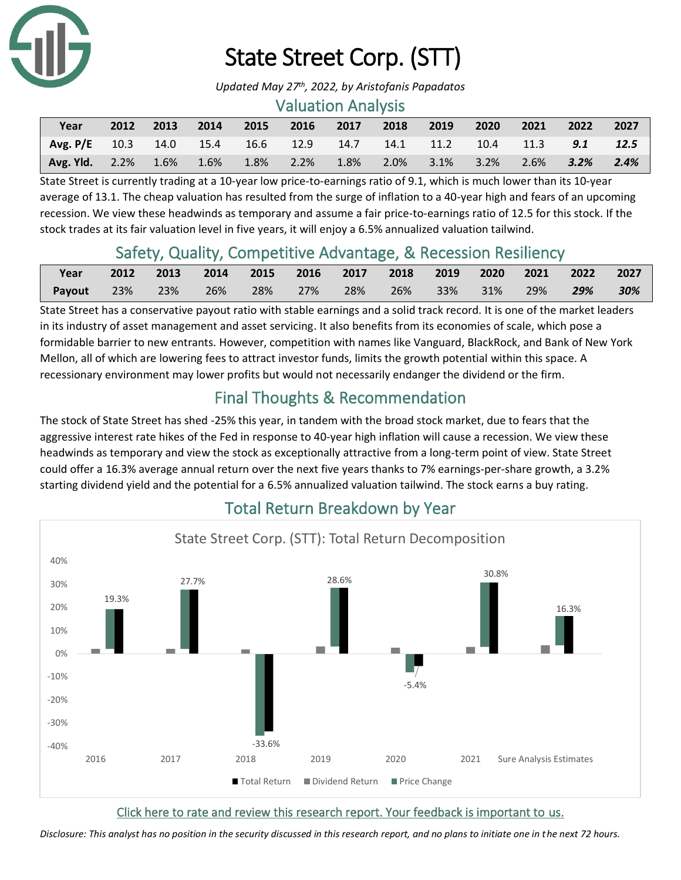

## State Street Corp. (STT)

*Updated May 27th , 2022, by Aristofanis Papadatos*

#### Valuation Analysis

| Year                                                                | 2012 | 2013 | 2014 | 2015 | 2016 2017 | 2018 | 2019                | $\sim$ 2020 $\sim$ | 2021 | 2022         | 2027 |
|---------------------------------------------------------------------|------|------|------|------|-----------|------|---------------------|--------------------|------|--------------|------|
| Avg. P/E 10.3 14.0 15.4 16.6 12.9 14.7 14.1 11.2 10.4 11.3 9.1 12.5 |      |      |      |      |           |      |                     |                    |      |              |      |
| Avg. Yld. 2.2% 1.6% 1.6% 1.8% 2.2%                                  |      |      |      |      | 1.8%      |      | 2.0% 3.1% 3.2% 2.6% |                    |      | $3.2\%$ 2.4% |      |

State Street is currently trading at a 10-year low price-to-earnings ratio of 9.1, which is much lower than its 10-year average of 13.1. The cheap valuation has resulted from the surge of inflation to a 40-year high and fears of an upcoming recession. We view these headwinds as temporary and assume a fair price-to-earnings ratio of 12.5 for this stock. If the stock trades at its fair valuation level in five years, it will enjoy a 6.5% annualized valuation tailwind.

## Safety, Quality, Competitive Advantage, & Recession Resiliency

| Year   | 2012 | $\sim$ 2013 |     |     |        | 2014 2015 2016 2017 2018 2019 2020 2021 2022 2027 |  |     |     |     |
|--------|------|-------------|-----|-----|--------|---------------------------------------------------|--|-----|-----|-----|
| Payout | 23%  | 23%         | 26% | 28% | $27\%$ | 28% 26% 33% 31%                                   |  | 29% | 29% | 30% |

State Street has a conservative payout ratio with stable earnings and a solid track record. It is one of the market leaders in its industry of asset management and asset servicing. It also benefits from its economies of scale, which pose a formidable barrier to new entrants. However, competition with names like Vanguard, BlackRock, and Bank of New York Mellon, all of which are lowering fees to attract investor funds, limits the growth potential within this space. A recessionary environment may lower profits but would not necessarily endanger the dividend or the firm.

## Final Thoughts & Recommendation

The stock of State Street has shed -25% this year, in tandem with the broad stock market, due to fears that the aggressive interest rate hikes of the Fed in response to 40-year high inflation will cause a recession. We view these headwinds as temporary and view the stock as exceptionally attractive from a long-term point of view. State Street could offer a 16.3% average annual return over the next five years thanks to 7% earnings-per-share growth, a 3.2% starting dividend yield and the potential for a 6.5% annualized valuation tailwind. The stock earns a buy rating.



## Total Return Breakdown by Year

[Click here to rate and review this research report. Your feedback is important to us.](https://suredividend.typeform.com/to/S0SIkB)

*Disclosure: This analyst has no position in the security discussed in this research report, and no plans to initiate one in the next 72 hours.*